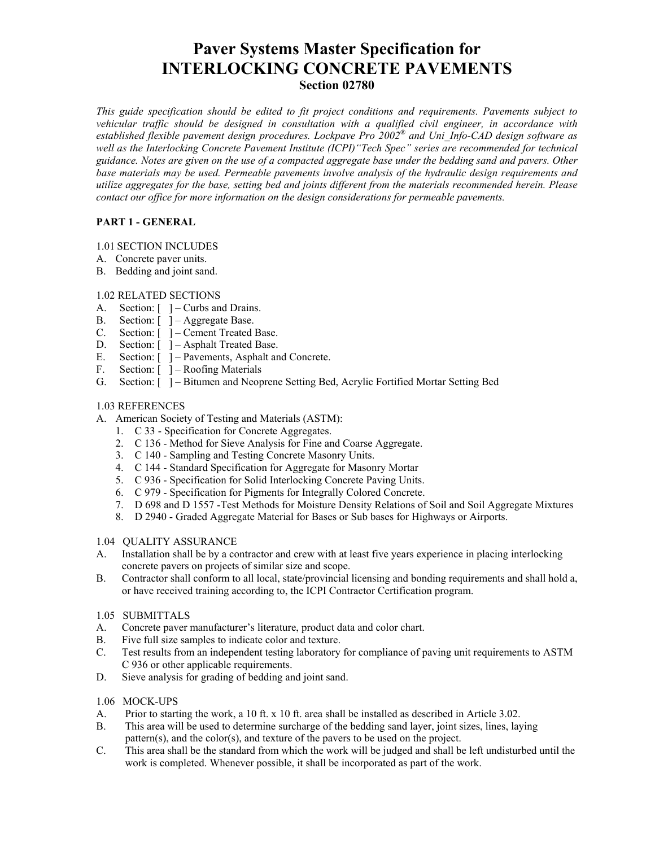# **Paver Systems Master Specification for INTERLOCKING CONCRETE PAVEMENTS**

# **Section 02780**

*This guide specification should be edited to fit project conditions and requirements. Pavements subject to vehicular traffic should be designed in consultation with a qualified civil engineer, in accordance with established flexible pavement design procedures. Lockpave Pro 2002® and Uni\_Info-CAD design software as well as the Interlocking Concrete Pavement Institute (ICPI)"Tech Spec" series are recommended for technical guidance. Notes are given on the use of a compacted aggregate base under the bedding sand and pavers. Other base materials may be used. Permeable pavements involve analysis of the hydraulic design requirements and utilize aggregates for the base, setting bed and joints different from the materials recommended herein. Please contact our office for more information on the design considerations for permeable pavements.* 

# **PART 1 - GENERAL**

## 1.01 SECTION INCLUDES

- A. Concrete paver units.
- B. Bedding and joint sand.

## 1.02 RELATED SECTIONS

- A. Section:  $\lceil \ \ \rceil$  Curbs and Drains.
- B. Section: [ ] Aggregate Base.
- C. Section: [ ] Cement Treated Base.
- D. Section:  $\lceil \ \rceil$  Asphalt Treated Base.
- E. Section:  $\begin{bmatrix} \end{bmatrix}$  Pavements, Asphalt and Concrete.
- F. Section:  $\lceil \ \rceil$  Roofing Materials
- G. Section: [ ] Bitumen and Neoprene Setting Bed, Acrylic Fortified Mortar Setting Bed

# 1.03 REFERENCES

- A. American Society of Testing and Materials (ASTM):
	- 1. C 33 Specification for Concrete Aggregates.
	- 2. C 136 Method for Sieve Analysis for Fine and Coarse Aggregate.
	- 3. C 140 Sampling and Testing Concrete Masonry Units.
	- 4. C 144 Standard Specification for Aggregate for Masonry Mortar
	- 5. C 936 Specification for Solid Interlocking Concrete Paving Units.
	- 6. C 979 Specification for Pigments for Integrally Colored Concrete.
	- 7. D 698 and D 1557 -Test Methods for Moisture Density Relations of Soil and Soil Aggregate Mixtures
	- 8. D 2940 Graded Aggregate Material for Bases or Sub bases for Highways or Airports.

## 1.04 QUALITY ASSURANCE

- A. Installation shall be by a contractor and crew with at least five years experience in placing interlocking concrete pavers on projects of similar size and scope.
- B. Contractor shall conform to all local, state/provincial licensing and bonding requirements and shall hold a, or have received training according to, the ICPI Contractor Certification program.

## 1.05 SUBMITTALS

- A. Concrete paver manufacturer's literature, product data and color chart.
- B. Five full size samples to indicate color and texture.
- C. Test results from an independent testing laboratory for compliance of paving unit requirements to ASTM C 936 or other applicable requirements.
- D. Sieve analysis for grading of bedding and joint sand.

## 1.06 MOCK-UPS

- A. Prior to starting the work, a 10 ft. x 10 ft. area shall be installed as described in Article 3.02.
- B. This area will be used to determine surcharge of the bedding sand layer, joint sizes, lines, laying pattern(s), and the color(s), and texture of the pavers to be used on the project.
- C. This area shall be the standard from which the work will be judged and shall be left undisturbed until the work is completed. Whenever possible, it shall be incorporated as part of the work.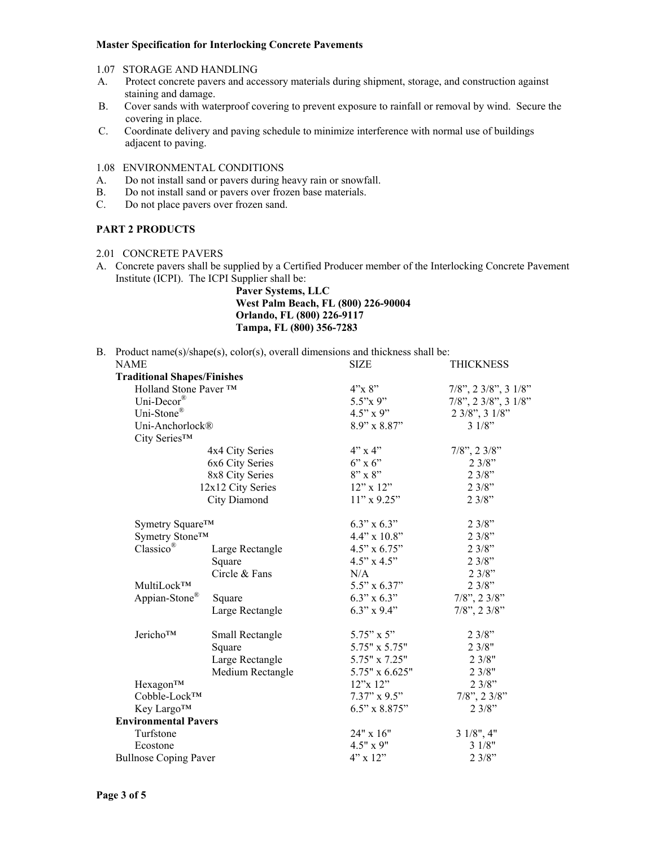#### **Master Specification for Interlocking Concrete Pavements**

- 1.07 STORAGE AND HANDLING
- A. Protect concrete pavers and accessory materials during shipment, storage, and construction against staining and damage.
- B. Cover sands with waterproof covering to prevent exposure to rainfall or removal by wind. Secure the covering in place.
- C. Coordinate delivery and paving schedule to minimize interference with normal use of buildings adjacent to paving.

1.08 ENVIRONMENTAL CONDITIONS

- A. Do not install sand or pavers during heavy rain or snowfall.
- B. Do not install sand or pavers over frozen base materials.
- C. Do not place pavers over frozen sand.

## **PART 2 PRODUCTS**

- 2.01 CONCRETE PAVERS
- A. Concrete pavers shall be supplied by a Certified Producer member of the Interlocking Concrete Pavement Institute (ICPI). The ICPI Supplier shall be:

**Paver Systems, LLC West Palm Beach, FL (800) 226-90004 Orlando, FL (800) 226-9117 Tampa, FL (800) 356-7283** 

B. Product name(s)/shape(s), color(s), overall dimensions and thickness shall be:

| NAME                               |                                    |                     | <b>THICKNESS</b>                              |
|------------------------------------|------------------------------------|---------------------|-----------------------------------------------|
| <b>Traditional Shapes/Finishes</b> |                                    |                     |                                               |
|                                    | Holland Stone Paver ™              |                     | $7/8$ ", $2 \frac{3}{8}$ ", $3 \frac{1}{8}$ " |
| Uni-Decor®                         |                                    | $5.5"$ x 9"         | $7/8$ ", 2 $3/8$ ", 3 $1/8$ "                 |
| Uni-Stone®                         |                                    | $4.5" \times 9"$    | 2 3/8", 3 1/8"                                |
| Uni-Anchorlock®                    |                                    | $8.9" \times 8.87"$ | 31/8"                                         |
| City Series™                       |                                    |                     |                                               |
|                                    | 4x4 City Series                    | 4"x4"               | $7/8$ ", 2 $3/8$ "                            |
|                                    | 6x6 City Series<br>8x8 City Series |                     | 23/8"                                         |
|                                    |                                    |                     | 23/8"                                         |
|                                    | 12x12 City Series                  | $12$ " x $12$ "     | 23/8"                                         |
|                                    | City Diamond                       | $11"$ x 9.25"       | 23/8"                                         |
| Symetry Square <sup>™</sup>        |                                    | $6.3$ " x $6.3$ "   | 23/8"                                         |
|                                    | Symetry Stone™                     |                     | 23/8"                                         |
| Classico®                          | Large Rectangle                    | $4.5$ " x $6.75$ "  | 23/8"                                         |
|                                    | Square                             | $4.5" \times 4.5"$  | 23/8"                                         |
|                                    | Circle & Fans                      | N/A                 | 23/8"                                         |
| MultiLock™                         |                                    | $5.5" \times 6.37"$ | 23/8"                                         |
| Appian-Stone®                      | Square                             | $6.3$ " x $6.3$ "   | $7/8$ ", 2 $3/8$ "                            |
|                                    | Large Rectangle                    | $6.3$ " x $9.4$ "   | $7/8$ ", $2 \frac{3}{8}$ "                    |
| Jericho™                           | Small Rectangle                    | $5.75" \times 5"$   | 23/8"                                         |
|                                    | Square                             | 5.75" x 5.75"       | 23/8"                                         |
|                                    | Large Rectangle                    | 5.75" x 7.25"       | 23/8"                                         |
|                                    | Medium Rectangle                   | 5.75" x 6.625"      | 23/8"                                         |
| Hexagon <sup>™</sup>               |                                    | 12"x 12"            | 23/8"                                         |
| Cobble-Lock™                       |                                    | $7.37" \times 9.5"$ | $7/8$ ", 2 $3/8$ "                            |
| Key Largo™                         |                                    | $6.5"$ x 8.875"     | 23/8"                                         |
| <b>Environmental Pavers</b>        |                                    |                     |                                               |
| Turfstone                          |                                    | 24" x 16"           | $31/8$ ", 4"                                  |
| Ecostone                           |                                    | 4.5" x 9"           | 31/8"                                         |
| <b>Bullnose Coping Paver</b>       |                                    | $4"$ x 12"          | 23/8"                                         |
|                                    |                                    |                     |                                               |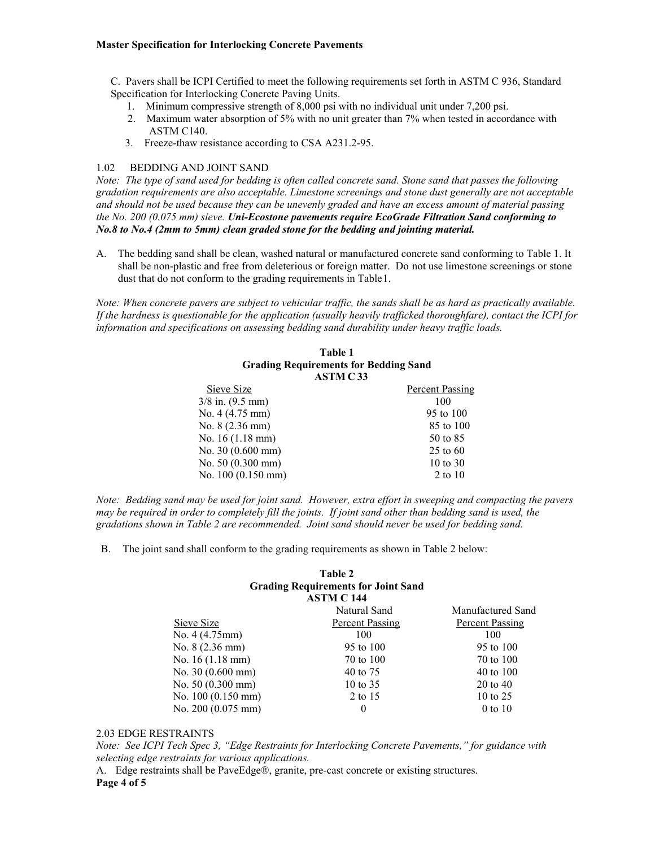#### **Master Specification for Interlocking Concrete Pavements**

C. Pavers shall be ICPI Certified to meet the following requirements set forth in ASTM C 936, Standard Specification for Interlocking Concrete Paving Units.

- 1. Minimum compressive strength of 8,000 psi with no individual unit under 7,200 psi.
- 2. Maximum water absorption of 5% with no unit greater than 7% when tested in accordance with ASTM C140.
- 3. Freeze-thaw resistance according to CSA A231.2-95.

## 1.02 BEDDING AND JOINT SAND

*Note: The type of sand used for bedding is often called concrete sand. Stone sand that passes the following gradation requirements are also acceptable. Limestone screenings and stone dust generally are not acceptable and should not be used because they can be unevenly graded and have an excess amount of material passing the No. 200 (0.075 mm) sieve. Uni-Ecostone pavements require EcoGrade Filtration Sand conforming to No.8 to No.4 (2mm to 5mm) clean graded stone for the bedding and jointing material.* 

A. The bedding sand shall be clean, washed natural or manufactured concrete sand conforming to Table 1. It shall be non-plastic and free from deleterious or foreign matter. Do not use limestone screenings or stone dust that do not conform to the grading requirements in Table 1.

*Note: When concrete pavers are subject to vehicular traffic, the sands shall be as hard as practically available. If the hardness is questionable for the application (usually heavily trafficked thoroughfare), contact the ICPI for information and specifications on assessing bedding sand durability under heavy traffic loads.* 

#### **Table 1 Grading Requirements for Bedding Sand ASTM C 33**

| Sieve Size                 | Percent Passing |
|----------------------------|-----------------|
| $3/8$ in. $(9.5$ mm)       | 100             |
| No. $4(4.75 \text{ mm})$   | 95 to 100       |
| No. $8(2.36 \text{ mm})$   | 85 to 100       |
| No. $16(1.18 \text{ mm})$  | 50 to 85        |
| No. $30(0.600 \text{ mm})$ | $25$ to 60      |
| No. $50(0.300 \text{ mm})$ | 10 to 30        |
| No. 100 (0.150 mm)         | 2 to $10$       |
|                            |                 |

*Note: Bedding sand may be used for joint sand. However, extra effort in sweeping and compacting the pavers may be required in order to completely fill the joints. If joint sand other than bedding sand is used, the gradations shown in Table 2 are recommended. Joint sand should never be used for bedding sand.* 

B. The joint sand shall conform to the grading requirements as shown in Table 2 below:

#### **Table 2 Grading Requirements for Joint Sand ASTM C 144**

|                             | Natural Sand           | Manufactured Sand      |
|-----------------------------|------------------------|------------------------|
| Sieve Size                  | <b>Percent Passing</b> | <b>Percent Passing</b> |
| No. $4(4.75 \text{mm})$     | 100                    | 100                    |
| No. $8(2.36 \text{ mm})$    | 95 to 100              | 95 to 100              |
| No. 16 (1.18 mm)            | 70 to 100              | 70 to 100              |
| No. $30(0.600 \text{ mm})$  | 40 to 75               | 40 to 100              |
| No. 50 (0.300 mm)           | 10 to $35$             | $20 \text{ to } 40$    |
| No. $100(0.150 \text{ mm})$ | 2 to 15                | 10 to $25$             |
| No. $200(0.075 \text{ mm})$ | $\theta$               | $0$ to $10$            |

#### 2.03 EDGE RESTRAINTS

*Note: See ICPI Tech Spec 3, "Edge Restraints for Interlocking Concrete Pavements," for guidance with selecting edge restraints for various applications.* 

A. Edge restraints shall be PaveEdge®, granite, pre-cast concrete or existing structures. **Page 4 of 5**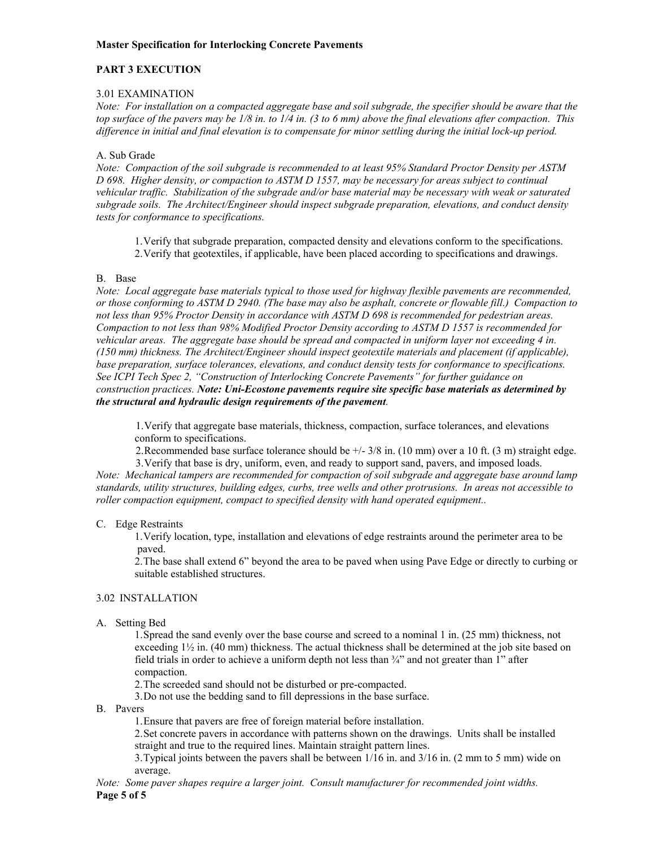## **PART 3 EXECUTION**

## 3.01 EXAMINATION

*Note: For installation on a compacted aggregate base and soil subgrade, the specifier should be aware that the top surface of the pavers may be 1/8 in. to 1/4 in. (3 to 6 mm) above the final elevations after compaction. This difference in initial and final elevation is to compensate for minor settling during the initial lock-up period.* 

## A. Sub Grade

*Note: Compaction of the soil subgrade is recommended to at least 95% Standard Proctor Density per ASTM D 698. Higher density, or compaction to ASTM D 1557, may be necessary for areas subject to continual vehicular traffic. Stabilization of the subgrade and/or base material may be necessary with weak or saturated subgrade soils. The Architect/Engineer should inspect subgrade preparation, elevations, and conduct density tests for conformance to specifications.* 

1. Verify that subgrade preparation, compacted density and elevations conform to the specifications. 2. Verify that geotextiles, if applicable, have been placed according to specifications and drawings.

## B. Base

*Note: Local aggregate base materials typical to those used for highway flexible pavements are recommended, or those conforming to ASTM D 2940. (The base may also be asphalt, concrete or flowable fill.) Compaction to not less than 95% Proctor Density in accordance with ASTM D 698 is recommended for pedestrian areas. Compaction to not less than 98% Modified Proctor Density according to ASTM D 1557 is recommended for vehicular areas. The aggregate base should be spread and compacted in uniform layer not exceeding 4 in. (150 mm) thickness. The Architect/Engineer should inspect geotextile materials and placement (if applicable),*  base preparation, surface tolerances, elevations, and conduct density tests for conformance to specifications. *See ICPI Tech Spec 2, "Construction of Interlocking Concrete Pavements" for further guidance on construction practices. Note: Uni-Ecostone pavements require site specific base materials as determined by the structural and hydraulic design requirements of the pavement.* 

1. Verify that aggregate base materials, thickness, compaction, surface tolerances, and elevations conform to specifications.

2. Recommended base surface tolerance should be +/- 3/8 in. (10 mm) over a 10 ft. (3 m) straight edge.

3. Verify that base is dry, uniform, even, and ready to support sand, pavers, and imposed loads. *Note: Mechanical tampers are recommended for compaction of soil subgrade and aggregate base around lamp standards, utility structures, building edges, curbs, tree wells and other protrusions. In areas not accessible to roller compaction equipment, compact to specified density with hand operated equipment..* 

## C. Edge Restraints

1. Verify location, type, installation and elevations of edge restraints around the perimeter area to be paved.

2. The base shall extend 6" beyond the area to be paved when using Pave Edge or directly to curbing or suitable established structures.

## 3.02 INSTALLATION

A. Setting Bed

1. Spread the sand evenly over the base course and screed to a nominal 1 in. (25 mm) thickness, not exceeding 1½ in. (40 mm) thickness. The actual thickness shall be determined at the job site based on field trials in order to achieve a uniform depth not less than  $\frac{3}{4}$  and not greater than 1" after compaction.

2. The screeded sand should not be disturbed or pre-compacted.

3. Do not use the bedding sand to fill depressions in the base surface.

B. Pavers

1. Ensure that pavers are free of foreign material before installation.

2. Set concrete pavers in accordance with patterns shown on the drawings. Units shall be installed straight and true to the required lines. Maintain straight pattern lines.

3. Typical joints between the pavers shall be between 1/16 in. and 3/16 in. (2 mm to 5 mm) wide on average.

*Note: Some paver shapes require a larger joint. Consult manufacturer for recommended joint widths.* **Page 5 of 5**